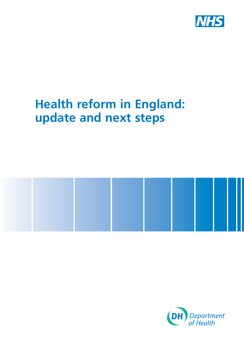

## **Health reform in England: update and next steps**



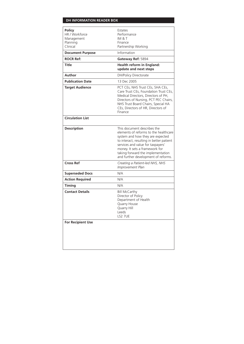| <b>Policy</b><br>HR / Workforce<br>Management<br>Planning<br>Clinical | Estates<br>Performance<br>IM & T<br>Finance<br>Partnership Working                                                                                                                                                                                                                                      |
|-----------------------------------------------------------------------|---------------------------------------------------------------------------------------------------------------------------------------------------------------------------------------------------------------------------------------------------------------------------------------------------------|
| <b>Document Purpose</b>                                               | Information                                                                                                                                                                                                                                                                                             |
| <b>ROCR Ref:</b>                                                      | Gateway Ref: 5894                                                                                                                                                                                                                                                                                       |
| Title                                                                 | Health reform in England:<br>update and next steps                                                                                                                                                                                                                                                      |
| Author                                                                | DH/Policy Directorate                                                                                                                                                                                                                                                                                   |
| <b>Publication Date</b>                                               | 13 Dec 2005                                                                                                                                                                                                                                                                                             |
| <b>Target Audience</b>                                                | PCT CEs, NHS Trust CEs, SHA CEs,<br>Care Trust CEs, Foundation Trust CEs,<br>Medical Directors, Directors of PH,<br>Directors of Nursing, PCT PEC Chairs,<br>NHS Trust Board Chairs, Special HA<br>CEs, Directors of HR, Directors of<br>Finance                                                        |
| <b>Circulation List</b>                                               |                                                                                                                                                                                                                                                                                                         |
| <b>Description</b>                                                    | This document describes the<br>elements of reforms to the healthcare<br>system and how they are expected<br>to interact, resulting in better patient<br>services and value for taxpayers'<br>money. It sets a framework for<br>taking forward the implementation<br>and further development of reforms. |
| <b>Cross Ref</b>                                                      | Creating a Patient-led NHS, NHS<br>Improvement Plan                                                                                                                                                                                                                                                     |
| <b>Superseded Docs</b>                                                | N/A                                                                                                                                                                                                                                                                                                     |
| <b>Action Required</b>                                                | N/A                                                                                                                                                                                                                                                                                                     |
| Timina                                                                | N/A                                                                                                                                                                                                                                                                                                     |
| <b>Contact Details</b>                                                | <b>Bill McCarthy</b><br>Director of Policy<br>Department of Health<br>Quarry House<br>Quarry Hill<br>Leeds<br><b>LS2 7UE</b>                                                                                                                                                                            |
| <b>For Recipient Use</b>                                              |                                                                                                                                                                                                                                                                                                         |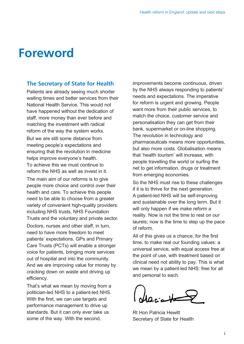### **Foreword**

#### **The Secretary of State for Health**

*Patients are already seeing much shorter waiting times and better services from their National Health Service. This would not have happened without the dedication of staff, more money than ever before and matching the investment with radical reform of the way the system works. But we are still some distance from meeting people's expectations and* 

*ensuring that the revolution in medicine helps improve everyone's health. To achieve this we must continue to reform the NHS as well as invest in it.* 

*The main aim of our reforms is to give people more choice and control over their health and care. To achieve this people need to be able to choose from a greater variety of convenient high-quality providers: including NHS trusts, NHS Foundation Trusts and the voluntary and private sector.* 

*Doctors, nurses and other staff, in turn, need to have more freedom to meet patients' expectations. GPs and Primary Care Trusts (PCTs) will enable a stronger voice for patients, bringing more services out of hospital and into the community. And we are improving value for money by cracking down on waste and driving up efficiency.* 

*That's what we mean by moving from a politician-led NHS to a patient-led NHS. With the first, we can use targets and performance management to drive up standards. But it can only ever take us some of the way. With the second,* 

*improvements become continuous, driven by the NHS always responding to patients' needs and expectations. The imperative for reform is urgent and growing. People want more from their public services, to match the choice, customer service and personalisation they can get from their bank, supermarket or on-line shopping. The revolution in technology and pharmaceuticals means more opportunities, but also more costs. Globalisation means that 'health tourism' will increase, with people travelling the world or surfing the net to get information, drugs or treatment from emerging economies.* 

*So the NHS must rise to these challenges if it is to thrive for the next generation. A patient-led NHS will be self-improving and sustainable over the long term. But it will only happen if we make reform a reality. Now is not the time to rest on our laurels; now is the time to step up the pace of reform.* 

*All of this gives us a chance, for the first time, to make real our founding values: a universal service, with equal access free at the point of use, with treatment based on clinical need not ability to pay. This is what we mean by a patient-led NHS: free for all and personal to each.* 

deciate

*Rt Hon Patricia Hewitt Secretary of State for Health*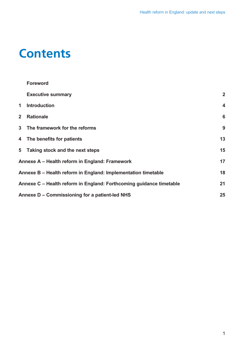## **Contents**

|                | <b>Foreword</b>                                                     |                         |  |
|----------------|---------------------------------------------------------------------|-------------------------|--|
|                | <b>Executive summary</b>                                            | $\overline{2}$          |  |
| 1              | <b>Introduction</b>                                                 | $\overline{\mathbf{4}}$ |  |
| 2 <sup>1</sup> | <b>Rationale</b>                                                    | $6\phantom{1}6$         |  |
|                | 3 The framework for the reforms                                     | 9                       |  |
|                | 4 The benefits for patients                                         | 13                      |  |
|                | 5 Taking stock and the next steps                                   | 15                      |  |
|                | 17<br>Annexe A – Health reform in England: Framework                |                         |  |
|                | 18<br>Annexe B – Health reform in England: Implementation timetable |                         |  |
|                | Annexe C – Health reform in England: Forthcoming guidance timetable | 21                      |  |
|                | 25<br>Annexe D – Commissioning for a patient-led NHS                |                         |  |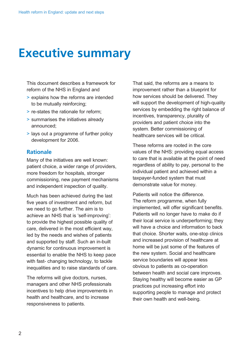## **Executive summary**

*This document describes a framework for reform of the NHS in England and* 

- *> explains how the reforms are intended to be mutually reinforcing;*
- *> re-states the rationale for reform;*
- *> summarises the initiatives already announced;*
- *> lays out a programme of further policy development for 2006.*

#### **Rationale**

*Many of the initiatives are well known: patient choice, a wider range of providers, more freedom for hospitals, stronger commissioning, new payment mechanisms and independent inspection of quality.* 

*Much has been achieved during the last five years of investment and reform, but we need to go further. The aim is to achieve an NHS that is 'self-improving': to provide the highest possible quality of care, delivered in the most efficient way, led by the needs and wishes of patients and supported by staff. Such an in-built dynamic for continuous improvement is essential to enable the NHS to keep pace with fast- changing technology, to tackle inequalities and to raise standards of care.* 

*The reforms will give doctors, nurses, managers and other NHS professionals incentives to help drive improvements in health and healthcare, and to increase responsiveness to patients.* 

*That said, the reforms are a means to improvement rather than a blueprint for how services should be delivered. They will support the development of high-quality services by embedding the right balance of incentives, transparency, plurality of providers and patient choice into the system. Better commissioning of healthcare services will be critical.* 

*These reforms are rooted in the core values of the NHS: providing equal access to care that is available at the point of need regardless of ability to pay, personal to the individual patient and achieved within a taxpayer-funded system that must demonstrate value for money.* 

*Patients will notice the difference. The reform programme, when fully implemented, will offer significant benefits. Patients will no longer have to make do if their local service is underperforming; they will have a choice and information to back that choice. Shorter waits, one-stop clinics and increased provision of healthcare at home will be just some of the features of the new system. Social and healthcare service boundaries will appear less obvious to patients as co-operation between health and social care improves. Staying healthy will become easier as GP practices put increasing effort into supporting people to manage and protect their own health and well-being.*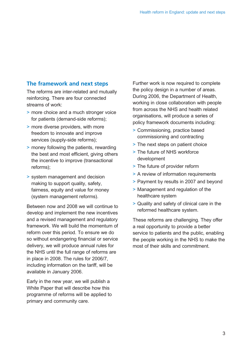### **The framework and next steps**

*The reforms are inter-related and mutually reinforcing. There are four connected streams of work:* 

- *> more choice and a much stronger voice for patients (demand-side reforms);*
- *> more diverse providers, with more freedom to innovate and improve services (supply-side reforms);*
- *> money following the patients, rewarding the best and most efficient, giving others the incentive to improve (transactional reforms);*
- *> system management and decision making to support quality, safety, fairness, equity and value for money (system management reforms).*

*Between now and 2008 we will continue to develop and implement the new incentives and a revised management and regulatory framework. We will build the momentum of reform over this period. To ensure we do so without endangering financial or service delivery, we will produce annual rules for the NHS until the full range of reforms are in place in 2008. The rules for 2006/7, including information on the tariff, will be available in January 2006.* 

*Early in the new year, we will publish a White Paper that will describe how this programme of reforms will be applied to primary and community care.* 

*Further work is now required to complete the policy design in a number of areas. During 2006, the Department of Health, working in close collaboration with people from across the NHS and health related organisations, will produce a series of policy framework documents including:* 

- *> Commissioning, practice based commissioning and contracting*
- *> The next steps on patient choice*
- *> The future of NHS workforce development*
- *> The future of provider reform*
- *> A review of information requirements*
- *> Payment by results in 2007 and beyond*
- *> Management and regulation of the healthcare system*
- *> Quality and safety of clinical care in the reformed healthcare system.*

*These reforms are challenging. They offer a real opportunity to provide a better service to patients and the public, enabling the people working in the NHS to make the most of their skills and commitment.*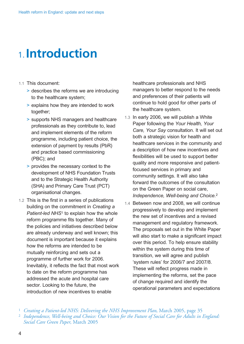## 1. **Introduction**

- *1.1 This document:* 
	- *> describes the reforms we are introducing to the healthcare system;*
	- *> explains how they are intended to work together;*
	- *> supports NHS managers and healthcare professionals as they contribute to, lead and implement elements of the reform programme, including patient choice, the extension of payment by results (PbR) and practice based commissioning (PBC); and*
	- *> provides the necessary context to the development of NHS Foundation Trusts and to the Strategic Health Authority (SHA) and Primary Care Trust (PCT) organisational changes.*
- *1.2 This is the first in a series of publications building on the commitment in Creating a Patient-led NHS1 to explain how the whole reform programme fits together. Many of the policies and initiatives described below are already underway and well known; this document is important because it explains how the reforms are intended to be mutually reinforcing and sets out a programme of further work for 2006. Inevitably, it reflects the fact that most work to date on the reform programme has addressed the acute and hospital care sector. Looking to the future, the introduction of new incentives to enable*

*healthcare professionals and NHS managers to better respond to the needs and preferences of their patients will continue to hold good for other parts of the healthcare system.* 

- *1.3 In early 2006, we will publish a White Paper following the Your Health, Your Care, Your Say consultation. It will set out both a strategic vision for health and healthcare services in the community and a description of how new incentives and flexibilities will be used to support better quality and more responsive and patientfocused services in primary and community settings. It will also take forward the outcomes of the consultation on the Green Paper on social care, Independence, Well-being and Choice.<sup>2</sup>*
- *1.4 Between now and 2008, we will continue progressively to develop and implement the new set of incentives and a revised management and regulatory framework. The proposals set out in the White Paper will also start to make a significant impact over this period. To help ensure stability within the system during this time of transition, we will agree and publish 'system rules' for 2006/7 and 2007/8. These will reflect progress made in implementing the reforms, set the pace of change required and identify the operational parameters and expectations*

<sup>1</sup> *Creating a Patient-led NHS: Delivering the NHS Improvement Plan*, March 2005, page 35 <sup>2</sup> *Independence, Well-being and Choice: Our Vision for the Future of Social Care for Adults in England: Social Care Green Paper*, March 2005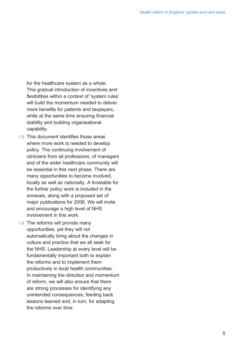*for the healthcare system as a whole. This gradual introduction of incentives and flexibilities within a context of 'system rules' will build the momentum needed to deliver more benefits for patients and taxpayers, while at the same time ensuring financial stability and building organisational capability.* 

- *1.5 This document identifies those areas where more work is needed to develop policy. The continuing involvement of clinicians from all professions, of managers and of the wider healthcare community will be essential in this next phase. There are many opportunities to become involved, locally as well as nationally. A timetable for the further policy work is included in the annexes, along with a proposed set of major publications for 2006. We will invite and encourage a high level of NHS involvement in this work.*
- *1.6 The reforms will provide many opportunities, yet they will not automatically bring about the changes in culture and practice that we all seek for the NHS. Leadership at every level will be fundamentally important both to explain the reforms and to implement them productively in local health communities. In maintaining the direction and momentum of reform, we will also ensure that there are strong processes for identifying any unintended consequences, feeding back lessons learned and, in turn, for adapting the reforms over time.*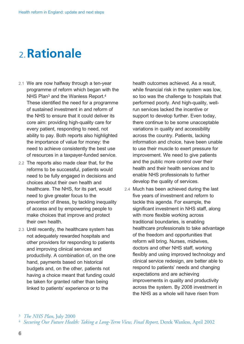## 2. **Rationale**

- *2.1 We are now halfway through a ten-year programme of reform which began with the NHS Plan3 and the Wanless Report.4 These identified the need for a programme of sustained investment in and reform of the NHS to ensure that it could deliver its core aim: providing high-quality care for every patient, responding to need, not ability to pay. Both reports also highlighted the importance of value for money: the need to achieve consistently the best use of resources in a taxpayer-funded service.*
- *2.2 The reports also made clear that, for the reforms to be successful, patients would need to be fully engaged in decisions and choices about their own health and healthcare. The NHS, for its part, would need to give greater focus to the prevention of illness, by tackling inequality of access and by empowering people to make choices that improve and protect their own health.*
- *2.3 Until recently, the healthcare system has not adequately rewarded hospitals and other providers for responding to patients and improving clinical services and productivity. A combination of, on the one hand, payments based on historical budgets and, on the other, patients not having a choice meant that funding could be taken for granted rather than being linked to patients' experience or to the*

*health outcomes achieved. As a result, while financial risk in the system was low, so too was the challenge to hospitals that performed poorly. And high-quality, wellrun services lacked the incentive or support to develop further. Even today, there continue to be some unacceptable variations in quality and accessibility across the country. Patients, lacking information and choice, have been unable to use their muscle to exert pressure for improvement. We need to give patients and the public more control over their health and their health services and to enable NHS professionals to further develop the quality of services.* 

*2.4 Much has been achieved during the last five years of investment and reform to tackle this agenda. For example, the significant investment in NHS staff, along with more flexible working across traditional boundaries, is enabling healthcare professionals to take advantage of the freedom and opportunities that reform will bring. Nurses, midwives, doctors and other NHS staff, working flexibly and using improved technology and clinical service redesign, are better able to respond to patients' needs and changing expectations and are achieving improvements in quality and productivity across the system. By 2008 investment in the NHS as a whole will have risen from* 

<sup>4</sup>*Securing Our Future Health: Taking a Long-Term View, Final Report*, Derek Wanless, April 2002

<sup>3</sup>*The NHS Plan*, July 2000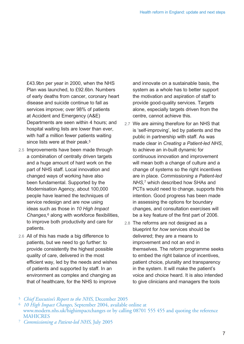*£43.9bn per year in 2000, when the NHS Plan was launched, to £92.6bn. Numbers of early deaths from cancer, coronary heart disease and suicide continue to fall as services improve; over 98% of patients at Accident and Emergency (A&E) Departments are seen within 4 hours; and hospital waiting lists are lower than ever, with half a million fewer patients waiting since lists were at their peak.5* 

- *2.5 Improvements have been made through a combination of centrally driven targets and a huge amount of hard work on the part of NHS staff. Local innovation and changed ways of working have also been fundamental. Supported by the Modernisation Agency, about 100,000 people have learned the techniques of service redesign and are now using ideas such as those in 10 High Impact Changes,6 along with workforce flexibilities, to improve both productivity and care for patients.*
- *2.6 All of this has made a big difference to patients, but we need to go further: to provide consistently the highest possible quality of care, delivered in the most efficient way, led by the needs and wishes of patients and supported by staff. In an environment as complex and changing as that of healthcare, for the NHS to improve*

*and innovate on a sustainable basis, the system as a whole has to better support the motivation and aspiration of staff to provide good-quality services. Targets alone, especially targets driven from the centre, cannot achieve this.* 

- *2.7 We are aiming therefore for an NHS that is 'self-improving', led by patients and the public in partnership with staff. As was made clear in Creating a Patient-led NHS, to achieve an in-built dynamic for continuous innovation and improvement will mean both a change of culture and a change of systems so the right incentives are in place. Commissioning a Patient-led NHS,7 which described how SHAs and PCTs would need to change, supports this intention. Good progress has been made in assessing the options for boundary changes, and consultation exercises will be a key feature of the first part of 2006.*
- *2.8 The reforms are not designed as a blueprint for how services should be delivered; they are a means to improvement and not an end in themselves. The reform programme seeks to embed the right balance of incentives, patient choice, plurality and transparency in the system. It will make the patient's voice and choice heard. It is also intended to give clinicians and managers the tools*

<sup>7</sup> *Commissioning a Patient-led NHS*, July 2005

<sup>5</sup> *Chief Executive's Report to the NHS*, December 2005

<sup>6</sup> *10 High Impact Changes*, September 2004, available online at [www.modern.nhs.uk/highimpactchanges or](http://www.modern.nhs.uk/highimpactchanges) by calling 08701 555 455 and quoting the reference MAHICRES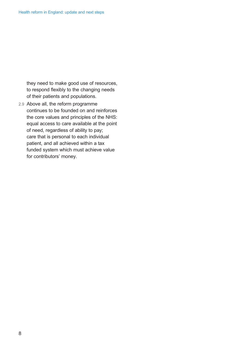*they need to make good use of resources, to respond flexibly to the changing needs of their patients and populations.* 

*2.9 Above all, the reform programme continues to be founded on and reinforces the core values and principles of the NHS: equal access to care available at the point of need, regardless of ability to pay; care that is personal to each individual patient, and all achieved within a tax funded system which must achieve value for contributors' money.*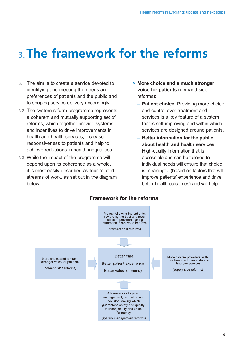# 3. **The framework for the reforms**

- *3.1 The aim is to create a service devoted to identifying and meeting the needs and preferences of patients and the public and to shaping service delivery accordingly.*
- *3.2 The system reform programme represents a coherent and mutually supporting set of reforms, which together provide systems and incentives to drive improvements in health and health services, increase responsiveness to patients and help to achieve reductions in health inequalities.*
- *3.3 While the impact of the programme will depend upon its coherence as a whole, it is most easily described as four related streams of work, as set out in the diagram below.*
- *> More choice and a much stronger voice for patients (demand-side reforms):* 
	- *Patient choice. Providing more choice and control over treatment and services is a key feature of a system that is self-improving and within which services are designed around patients.*
	- *Better information for the public about health and health services. High-quality information that is accessible and can be tailored to individual needs will ensure that choice is meaningful (based on factors that will improve patients' experience and drive better health outcomes) and will help*



#### **Framework for the reforms**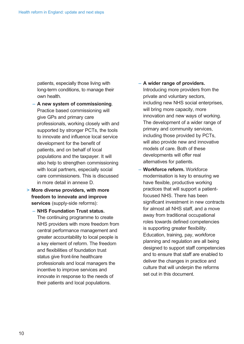*patients, especially those living with long-term conditions, to manage their own health.* 

- *A new system of commissioning. Practice based commissioning will give GPs and primary care professionals, working closely with and supported by stronger PCTs, the tools to innovate and influence local service development for the benefit of patients, and on behalf of local populations and the taxpayer. It will also help to strengthen commissioning with local partners, especially social care commissioners. This is discussed in more detail in annexe D.*
- *> More diverse providers, with more freedom to innovate and improve services (supply-side reforms):* 
	- *NHS Foundation Trust status. The continuing programme to create NHS providers with more freedom from central performance management and greater accountability to local people is a key element of reform. The freedom and flexibilities of foundation trust status give front-line healthcare professionals and local managers the incentive to improve services and innovate in response to the needs of their patients and local populations.*

#### *– A wider range of providers.*

*Introducing more providers from the private and voluntary sectors, including new NHS social enterprises, will bring more capacity, more innovation and new ways of working. The development of a wider range of primary and community services, including those provided by PCTs, will also provide new and innovative models of care. Both of these developments will offer real alternatives for patients.* 

*– Workforce reform. Workforce modernisation is key to ensuring we have flexible, productive working practices that will support a patientfocused NHS. There has been significant investment in new contracts for almost all NHS staff, and a move away from traditional occupational roles towards defined competencies is supporting greater flexibility. Education, training, pay, workforce planning and regulation are all being designed to support staff competencies and to ensure that staff are enabled to deliver the changes in practice and culture that will underpin the reforms set out in this document.*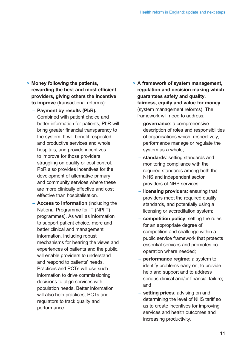- *> Money following the patients, rewarding the best and most efficient providers, giving others the incentive to improve (transactional reforms):* 
	- *Payment by results (PbR). Combined with patient choice and better information for patients, PbR will bring greater financial transparency to the system. It will benefit respected and productive services and whole hospitals, and provide incentives to improve for those providers struggling on quality or cost control. PbR also provides incentives for the development of alternative primary and community services where these are more clinically effective and cost effective than hospitalisation.*
	- *Access to information (including the National Programme for IT (NPfIT) programmes). As well as information to support patient choice, more and better clinical and management information, including robust mechanisms for hearing the views and experiences of patients and the public, will enable providers to understand and respond to patients' needs. Practices and PCTs will use such information to drive commissioning decisions to align services with population needs. Better information will also help practices, PCTs and regulators to track quality and performance.*
- *> A framework of system management, regulation and decision making which guarantees safety and quality, fairness, equity and value for money (system management reforms). The framework will need to address:* 
	- *governance: a comprehensive description of roles and responsibilities of organisations which, respectively, performance manage or regulate the system as a whole;*
	- *standards: setting standards and monitoring compliance with the required standards among both the NHS and independent sector providers of NHS services;*
	- *licensing providers: ensuring that providers meet the required quality standards, and potentially using a licensing or accreditation system;*
	- *competition policy: setting the rules for an appropriate degree of competition and challenge within a public service framework that protects essential services and promotes cooperation where needed;*
	- *performance regime: a system to identify problems early on, to provide help and support and to address serious clinical and/or financial failure; and*
	- *setting prices: advising on and determining the level of NHS tariff so as to create incentives for improving services and health outcomes and increasing productivity.*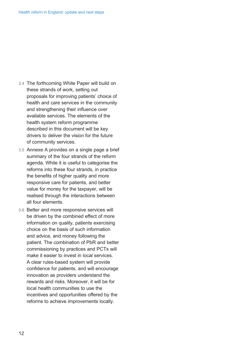- *3.4 The forthcoming White Paper will build on these strands of work, setting out proposals for improving patients' choice of health and care services in the community and strengthening their influence over available services. The elements of the health system reform programme described in this document will be key drivers to deliver the vision for the future of community services.*
- *3.5 Annexe A provides on a single page a brief summary of the four strands of the reform agenda. While it is useful to categorise the reforms into these four strands, in practice the benefits of higher quality and more responsive care for patients, and better value for money for the taxpayer, will be realised through the interactions between all four elements.*
- *3.6 Better and more responsive services will be driven by the combined effect of more information on quality, patients exercising choice on the basis of such information and advice, and money following the patient. The combination of PbR and better commissioning by practices and PCTs will make it easier to invest in local services. A clear rules-based system will provide confidence for patients, and will encourage innovation as providers understand the rewards and risks. Moreover, it will be for local health communities to use the incentives and opportunities offered by the reforms to achieve improvements locally.*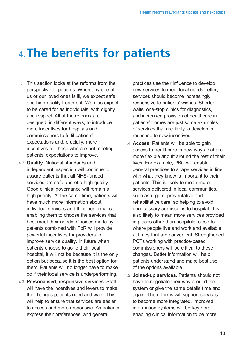## 4. **The benefits for patients**

- *4.1 This section looks at the reforms from the perspective of patients. When any one of us or our loved ones is ill, we expect safe and high-quality treatment. We also expect to be cared for as individuals, with dignity and respect. All of the reforms are designed, in different ways, to introduce more incentives for hospitals and commissioners to fulfil patients' expectations and, crucially, more incentives for those who are not meeting patients' expectations to improve.*
- *4.2 Quality. National standards and independent inspection will continue to assure patients that all NHS-funded services are safe and of a high quality. Good clinical governance will remain a high priority. At the same time, patients will have much more information about individual services and their performance, enabling them to choose the services that best meet their needs. Choices made by patients combined with PbR will provide powerful incentives for providers to improve service quality. In future when patients choose to go to their local hospital, it will not be because it is the only option but because it is the best option for them. Patients will no longer have to make do if their local service is underperforming.*
- *4.3 Personalised, responsive services. Staff will have the incentives and levers to make the changes patients need and want. This will help to ensure that services are easier to access and more responsive. As patients express their preferences, and general*

*practices use their influence to develop new services to meet local needs better, services should become increasingly responsive to patients' wishes. Shorter waits, one-stop clinics for diagnostics, and increased provision of healthcare in patients' homes are just some examples of services that are likely to develop in response to new incentives.* 

- *4.4 Access. Patients will be able to gain access to healthcare in new ways that are more flexible and fit around the rest of their lives. For example, PBC will enable general practices to shape services in line with what they know is important to their patients. This is likely to mean more services delivered in local communities, such as urgent, preventative and rehabilitative care, so helping to avoid unnecessary admissions to hospital. It is also likely to mean more services provided in places other than hospitals, close to where people live and work and available at times that are convenient. Strengthened PCTs working with practice-based commissioners will be critical to these changes. Better information will help patients understand and make best use of the options available.*
- *4.5 Joined-up services. Patients should not have to negotiate their way around the system or give the same details time and again. The reforms will support services to become more integrated. Improved information systems will be key here, enabling clinical information to be more*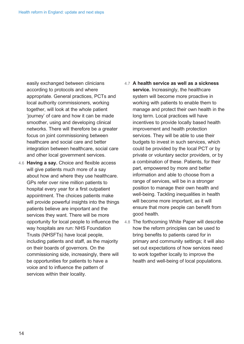*easily exchanged between clinicians according to protocols and where appropriate. General practices, PCTs and local authority commissioners, working together, will look at the whole patient 'journey' of care and how it can be made smoother, using and developing clinical networks. There will therefore be a greater focus on joint commissioning between healthcare and social care and better integration between healthcare, social care and other local government services.* 

*4.6 Having a say. Choice and flexible access will give patients much more of a say about how and where they use healthcare. GPs refer over nine million patients to hospital every year for a first outpatient appointment. The choices patients make will provide powerful insights into the things patients believe are important and the services they want. There will be more opportunity for local people to influence the way hospitals are run: NHS Foundation Trusts (NHSFTs) have local people, including patients and staff, as the majority on their boards of governors. On the commissioning side, increasingly, there will be opportunities for patients to have a voice and to influence the pattern of services within their locality.* 

### *4.7 A health service as well as a sickness service. Increasingly, the healthcare system will become more proactive in working with patients to enable them to manage and protect their own health in the long term. Local practices will have incentives to provide locally based health improvement and health protection services. They will be able to use their budgets to invest in such services, which could be provided by the local PCT or by private or voluntary sector providers, or by a combination of these. Patients, for their part, empowered by more and better information and able to choose from a range of services, will be in a stronger position to manage their own health and well-being. Tackling inequalities in health will become more important, as it will ensure that more people can benefit from good health.*

*4.8 The forthcoming White Paper will describe how the reform principles can be used to bring benefits to patients cared for in primary and community settings; it will also set out expectations of how services need to work together locally to improve the health and well-being of local populations.*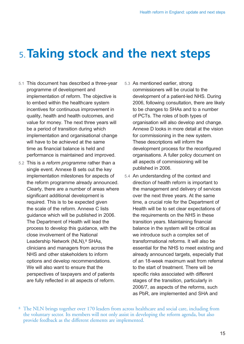## 5. **Taking stock and the next steps**

- *5.1 This document has described a three-year programme of development and implementation of reform. The objective is to embed within the healthcare system incentives for continuous improvement in quality, health and health outcomes, and value for money. The next three years will be a period of transition during which implementation and organisational change will have to be achieved at the same time as financial balance is held and performance is maintained and improved.*
- *5.2 This is a reform programme rather than a single event. Annexe B sets out the key implementation milestones for aspects of the reform programme already announced. Clearly, there are a number of areas where significant additional development is required. This is to be expected given the scale of the reform. Annexe C lists guidance which will be published in 2006. The Department of Health will lead the process to develop this guidance, with the close involvement of the National Leadership Network (NLN),8 SHAs, clinicians and managers from across the NHS and other stakeholders to inform options and develop recommendations. We will also want to ensure that the perspectives of taxpayers and of patients are fully reflected in all aspects of reform.*
- *5.3 As mentioned earlier, strong commissioners will be crucial to the development of a patient-led NHS. During 2006, following consultation, there are likely to be changes to SHAs and to a number of PCTs. The roles of both types of organisation will also develop and change. Annexe D looks in more detail at the vision for commissioning in the new system. These descriptions will inform the development process for the reconfigured organisations. A fuller policy document on all aspects of commissioning will be published in 2006.*
- *5.4 An understanding of the context and direction of health reform is important to the management and delivery of services over the next three years. At the same time, a crucial role for the Department of Health will be to set clear expectations of the requirements on the NHS in these transition years. Maintaining financial balance in the system will be critical as we introduce such a complex set of transformational reforms. It will also be essential for the NHS to meet existing and already announced targets, especially that of an 18-week maximum wait from referral to the start of treatment. There will be specific risks associated with different stages of the transition, particularly in 2006/7, as aspects of the reforms, such as PbR, are implemented and SHA and*

<sup>8</sup> The NLN brings together over 170 leaders from across healthcare and social care, including from the voluntary sector. Its members will not only assist in developing the reform agenda, but also provide feedback as the different elements are implemented.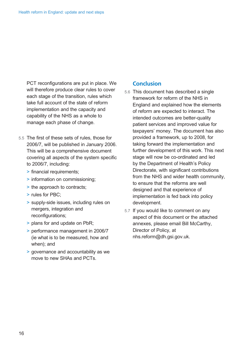*PCT reconfigurations are put in place. We will therefore produce clear rules to cover each stage of the transition, rules which take full account of the state of reform implementation and the capacity and capability of the NHS as a whole to manage each phase of change.* 

- *5.5 The first of these sets of rules, those for 2006/7, will be published in January 2006. This will be a comprehensive document covering all aspects of the system specific to 2006/7, including:* 
	- *> financial requirements;*
	- *> information on commissioning;*
	- *> the approach to contracts;*
	- *> rules for PBC;*
	- *> supply-side issues, including rules on mergers, integration and reconfigurations;*
	- *> plans for and update on PbR;*
	- *> performance management in 2006/7 (ie what is to be measured, how and when); and*
	- *> governance and accountability as we move to new SHAs and PCTs.*

#### **Conclusion**

- *5.6 This document has described a single framework for reform of the NHS in England and explained how the elements of reform are expected to interact. The intended outcomes are better-quality patient services and improved value for taxpayers' money. The document has also provided a framework, up to 2008, for taking forward the implementation and further development of this work. This next stage will now be co-ordinated and led by the Department of Health's Policy Directorate, with significant contributions from the NHS and wider health community, to ensure that the reforms are well designed and that experience of implementation is fed back into policy development.*
- *5.7 If you would like to comment on any aspect of this document or the attached annexes, please email Bill McCarthy, Director of Policy, at nhs[.reform@dh.gsi.gov.uk.](mailto:reform@dh.gsi.gov.uk)*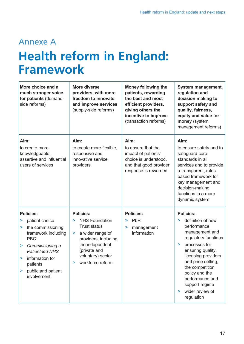## Annexe A **Health reform in England: Framework**

| More choice and a<br>much stronger voice<br>for patients (demand-<br>side reforms)                                                                                                                                              | <b>More diverse</b><br>providers, with more<br>freedom to innovate<br>and improve services<br>(supply-side reforms)                                                                                     | <b>Money following the</b><br>patients, rewarding<br>the best and most<br>efficient providers,<br>giving others the<br>incentive to improve<br>(transaction reforms) | System management,<br>regulation and<br>decision making to<br>support safety and<br>quality, fairness,<br>equity and value for<br>money (system<br>management reforms)                                                                                                                                      |
|---------------------------------------------------------------------------------------------------------------------------------------------------------------------------------------------------------------------------------|---------------------------------------------------------------------------------------------------------------------------------------------------------------------------------------------------------|----------------------------------------------------------------------------------------------------------------------------------------------------------------------|-------------------------------------------------------------------------------------------------------------------------------------------------------------------------------------------------------------------------------------------------------------------------------------------------------------|
| Aim:<br>to create more<br>knowledgeable,<br>assertive and influential<br>users of services                                                                                                                                      | Aim:<br>to create more flexible,<br>responsive and<br>innovative service<br>providers                                                                                                                   | Aim:<br>to ensure that the<br>impact of patients'<br>choice is understood,<br>and that good provider<br>response is rewarded                                         | Aim:<br>to ensure safety and to<br>safeguard core<br>standards in all<br>services and to provide<br>a transparent, rules-<br>based framework for<br>key management and<br>decision-making<br>functions in a more<br>dynamic system                                                                          |
| <b>Policies:</b><br>patient choice<br>⋗<br>the commissioning<br>⋗<br>framework including<br><b>PBC</b><br>Commissioning a<br>><br>Patient-led NHS<br>information for<br>><br>patients<br>public and patient<br>⋗<br>involvement | <b>Policies:</b><br><b>NHS Foundation</b><br>⋗<br><b>Trust status</b><br>a wider range of<br>⋗<br>providers, including<br>the independent<br>(private and<br>voluntary) sector<br>workforce reform<br>⋗ | <b>Policies:</b><br>PbR<br>⋗<br>management<br>><br>information                                                                                                       | <b>Policies:</b><br>definition of new<br>⋗<br>performance<br>management and<br>regulatory functions<br>processes for<br>⋗<br>ensuring quality,<br>licensing providers<br>and price setting,<br>the competition<br>policy and the<br>performance and<br>support regime<br>wider review of<br>➤<br>regulation |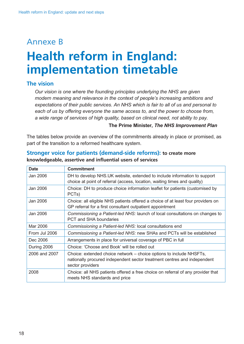## Annexe B **Health reform in England: implementation timetable**

### **The vision**

*Our vision is one where the founding principles underlying the NHS are given modern meaning and relevance in the context of people's increasing ambitions and expectations of their public services. An NHS which is fair to all of us and personal to each of us by offering everyone the same access to, and the power to choose from, a wide range of services of high quality, based on clinical need, not ability to pay.* 

#### *The Prime Minister, The NHS Improvement Plan*

*The tables below provide an overview of the commitments already in place or promised, as part of the transition to a reformed healthcare system.* 

| <b>Date</b>   | <b>Commitment</b>                                                                                                                                                   |  |
|---------------|---------------------------------------------------------------------------------------------------------------------------------------------------------------------|--|
| Jan 2006      | DH to develop NHS.UK website, extended to include information to support<br>choice at point of referral (access, location, waiting times and quality)               |  |
| Jan 2006      | Choice: DH to produce choice information leaflet for patients (customised by<br>PCT <sub>s</sub> )                                                                  |  |
| Jan 2006      | Choice: all eligible NHS patients offered a choice of at least four providers on<br>GP referral for a first consultant outpatient appointment                       |  |
| Jan 2006      | Commissioning a Patient-led NHS: launch of local consultations on changes to<br><b>PCT and SHA boundaries</b>                                                       |  |
| Mar 2006      | Commissioning a Patient-led NHS: local consultations end                                                                                                            |  |
| From Jul 2006 | Commissioning a Patient-led NHS: new SHAs and PCTs will be established                                                                                              |  |
| Dec 2006      | Arrangements in place for universal coverage of PBC in full                                                                                                         |  |
| During 2006   | Choice: 'Choose and Book' will be rolled out                                                                                                                        |  |
| 2006 and 2007 | Choice: extended choice network – choice options to include NHSFTs,<br>nationally procured independent sector treatment centres and independent<br>sector providers |  |
| 2008          | Choice: all NHS patients offered a free choice on referral of any provider that<br>meets NHS standards and price                                                    |  |

#### **Stronger voice for patients (demand-side reforms): to create more knowledgeable, assertive and influential users of services**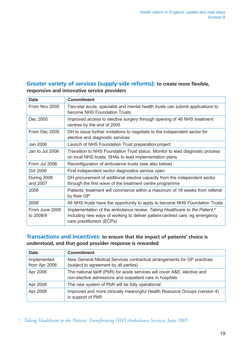### **Greater variety of services (supply-side reforms): to create more flexible, responsive and innovative service providers**

| <b>Date</b>                 | <b>Commitment</b>                                                                                                                                                                                  |  |
|-----------------------------|----------------------------------------------------------------------------------------------------------------------------------------------------------------------------------------------------|--|
| From Nov 2005               | Two-star acute, specialist and mental health trusts can submit applications to<br>become NHS Foundation Trusts                                                                                     |  |
| Dec 2005                    | Improved access to elective surgery through opening of 46 NHS treatment<br>centres by the end of 2005                                                                                              |  |
| From Dec 2005               | DH to issue further invitations to negotiate to the independent sector for<br>elective and diagnostic services                                                                                     |  |
| Jan 2006                    | Launch of NHS Foundation Trust preparation project                                                                                                                                                 |  |
| Jan to Jul 2006             | Transition to NHS Foundation Trust status: Monitor to lead diagnostic process<br>on local NHS trusts; SHAs to lead implementation plans                                                            |  |
| From Jul 2006               | Reconfiguration of ambulance trusts (see also below)                                                                                                                                               |  |
| Oct 2006                    | First independent sector diagnostics service open                                                                                                                                                  |  |
| During 2006<br>and 2007     | DH procurement of additional elective capacity from the independent sector<br>through the first wave of the treatment centre programme                                                             |  |
| 2008                        | Patients' treatment will commence within a maximum of 18 weeks from referral<br>by their GP                                                                                                        |  |
| 2008                        | All NHS trusts have the opportunity to apply to become NHS Foundation Trusts                                                                                                                       |  |
| From June 2005<br>to 2008/9 | Implementation of the ambulance review, Taking Healthcare to the Patient, <sup>9</sup><br>including new ways of working to deliver patient-centred care, eg emergency<br>care practitioners (ECPs) |  |

#### **Transactions and incentives: to ensure that the impact of patients' choice is understood, and that good provider response is rewarded**

| <b>Date</b>                  | <b>Commitment</b>                                                                                                                     |
|------------------------------|---------------------------------------------------------------------------------------------------------------------------------------|
| Implemented<br>from Apr 2006 | New General Medical Services contractual arrangements for GP practices<br>(subject to agreement by all parties)                       |
| Apr 2006                     | The national tariff (PbR) for acute services will cover A&E, elective and<br>non-elective admissions and outpatient care in hospitals |
| Apr 2008                     | The new system of PbR will be fully operational                                                                                       |
| Apr 2008                     | Improved and more clinically meaningful Health Resource Groups (version 4)<br>in support of PbR                                       |

<sup>9</sup>*Taking Healthcare to the Patient: Transforming NHS Ambulance Services*, June 2005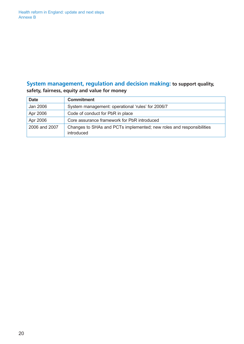#### **System management, regulation and decision making: to support quality, safety, fairness, equity and value for money**

| <b>Date</b>   | <b>Commitment</b>                                                                         |
|---------------|-------------------------------------------------------------------------------------------|
| Jan 2006      | System management: operational 'rules' for 2006/7                                         |
| Apr 2006      | Code of conduct for PbR in place                                                          |
| Apr 2006      | Core assurance framework for PbR introduced                                               |
| 2006 and 2007 | Changes to SHAs and PCTs implemented; new roles and responsibilities<br><i>introduced</i> |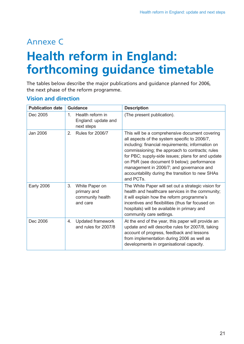## Annexe C **Health reform in England: forthcoming guidance timetable**

The tables below describe the major publications and guidance planned for 2006, the next phase of the reform programme.

### **Vision and direction**

| <b>Publication date</b> | <b>Guidance</b> |                                                               | <b>Description</b>                                                                                                                                                                                                                                                                                                                                                                                                      |
|-------------------------|-----------------|---------------------------------------------------------------|-------------------------------------------------------------------------------------------------------------------------------------------------------------------------------------------------------------------------------------------------------------------------------------------------------------------------------------------------------------------------------------------------------------------------|
| Dec 2005                | $\mathbf{1}$ .  | Health reform in<br>England: update and<br>next steps         | (The present publication).                                                                                                                                                                                                                                                                                                                                                                                              |
| <b>Jan 2006</b>         | 2.              | <b>Rules for 2006/7</b>                                       | This will be a comprehensive document covering<br>all aspects of the system specific to 2006/7,<br>including: financial requirements; information on<br>commissioning; the approach to contracts; rules<br>for PBC; supply-side issues; plans for and update<br>on PbR (see document 9 below); performance<br>management in 2006/7; and governance and<br>accountability during the transition to new SHAs<br>and PCTs. |
| <b>Early 2006</b>       | 3.              | White Paper on<br>primary and<br>community health<br>and care | The White Paper will set out a strategic vision for<br>health and healthcare services in the community;<br>it will explain how the reform programme's<br>incentives and flexibilities (thus far focused on<br>hospitals) will be available in primary and<br>community care settings.                                                                                                                                   |
| Dec 2006                | 4.              | Updated framework<br>and rules for 2007/8                     | At the end of the year, this paper will provide an<br>update and will describe rules for 2007/8, taking<br>account of progress, feedback and lessons<br>from implementation during 2006 as well as<br>developments in organisational capacity.                                                                                                                                                                          |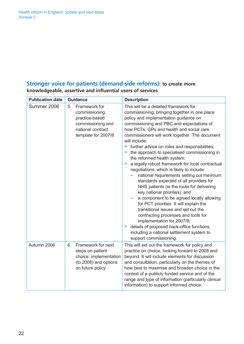#### **Stronger voice for patients (demand-side reforms): to create more knowledgeable, assertive and influential users of services**

| <b>Publication date</b> | <b>Guidance</b>                                                                                                          | <b>Description</b>                                                                                                                                                                                                                                                                                                                                                                                                                                                                                                                                                                                                                                                                                                                                                                                                                                                                                                                                                                                                                     |
|-------------------------|--------------------------------------------------------------------------------------------------------------------------|----------------------------------------------------------------------------------------------------------------------------------------------------------------------------------------------------------------------------------------------------------------------------------------------------------------------------------------------------------------------------------------------------------------------------------------------------------------------------------------------------------------------------------------------------------------------------------------------------------------------------------------------------------------------------------------------------------------------------------------------------------------------------------------------------------------------------------------------------------------------------------------------------------------------------------------------------------------------------------------------------------------------------------------|
| Summer 2006             | 5.<br>Framework for<br>commissioning,<br>practice-based<br>commissioning and<br>national contract<br>template for 2007/8 | This will be a detailed framework for<br>commissioning, bringing together in one place<br>policy and implementation guidance on<br>commissioning and PBC and expectations of<br>how PCTs, GPs and health and social care<br>commissioners will work together. The document<br>will include:<br>> further advice on roles and responsibilities;<br>> the approach to specialised commissioning in<br>the reformed health system;<br>a legally robust framework for local contractual<br>⋗<br>negotiations, which is likely to include:<br>national requirements setting out minimum<br>standards expected of all providers for<br>NHS patients (ie the route for delivering<br>key national priorities); and<br>a component to be agreed locally allowing<br>for PCT priorities. It will explain the<br>transitional issues and set out the<br>contracting processes and tools for<br>implementation for 2007/8;<br>> details of proposed back-office functions,<br>including a national settlement system to<br>support commissioning. |
| Autumn 2006             | Framework for next<br>6.<br>steps on patient<br>choice: implementation<br>(to 2008) and options<br>on future policy      | This will set out the framework for policy and<br>practice on choice, looking forward to 2008 and<br>beyond. It will include elements for discussion<br>and consultation, particularly on the themes of<br>how best to maximise and broaden choice in the<br>context of a publicly funded service and of the<br>range and type of information (particularly clinical<br>information) to support informed choice.                                                                                                                                                                                                                                                                                                                                                                                                                                                                                                                                                                                                                       |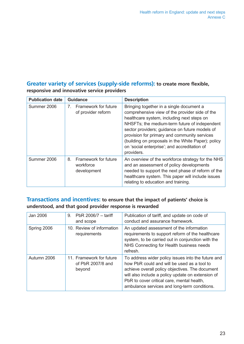### **Greater variety of services (supply-side reforms): to create more flexible, responsive and innovative service providers**

| <b>Publication date</b> | <b>Guidance</b>                                                              | <b>Description</b>                                                                                                                                                                                                                                                                                                                                                                                              |
|-------------------------|------------------------------------------------------------------------------|-----------------------------------------------------------------------------------------------------------------------------------------------------------------------------------------------------------------------------------------------------------------------------------------------------------------------------------------------------------------------------------------------------------------|
| Summer 2006             | Framework for future<br>$7_{\scriptscriptstyle{\sim}}$<br>of provider reform | Bringing together in a single document a<br>comprehensive view of the provider side of the<br>healthcare system, including next steps on<br>NHSFTs; the medium-term future of independent<br>sector providers; guidance on future models of<br>provision for primary and community services<br>(building on proposals in the White Paper); policy<br>on 'social enterprise'; and accreditation of<br>providers. |
| Summer 2006             | Framework for future<br>8.<br>workforce<br>development                       | An overview of the workforce strategy for the NHS<br>and an assessment of policy developments<br>needed to support the next phase of reform of the<br>healthcare system. This paper will include issues<br>relating to education and training.                                                                                                                                                                  |

### **Transactions and incentives: to ensure that the impact of patients' choice is understood, and that good provider response is rewarded**

| Jan 2006    | PbR $2006/7 - \text{tariff}$<br>9.<br>and scope         | Publication of tariff, and update on code of<br>conduct and assurance framework.                                                                                                                                                                                                                        |
|-------------|---------------------------------------------------------|---------------------------------------------------------------------------------------------------------------------------------------------------------------------------------------------------------------------------------------------------------------------------------------------------------|
| Spring 2006 | 10. Review of information<br>requirements               | An updated assessment of the information<br>requirements to support reform of the healthcare<br>system, to be carried out in conjunction with the<br>NHS Connecting for Health business needs<br>refresh.                                                                                               |
| Autumn 2006 | 11. Framework for future<br>of PbR 2007/8 and<br>beyond | To address wider policy issues into the future and<br>how PbR could and will be used as a tool to<br>achieve overall policy objectives. The document<br>will also include a policy update on extension of<br>PbR to cover critical care, mental health,<br>ambulance services and long-term conditions. |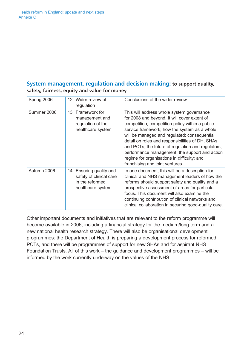#### **System management, regulation and decision making: to support quality, safety, fairness, equity and value for money**

| Spring 2006 | 12. Wider review of<br>regulation                                                           | Conclusions of the wider review.                                                                                                                                                                                                                                                                                                                                                                                                                                                           |
|-------------|---------------------------------------------------------------------------------------------|--------------------------------------------------------------------------------------------------------------------------------------------------------------------------------------------------------------------------------------------------------------------------------------------------------------------------------------------------------------------------------------------------------------------------------------------------------------------------------------------|
| Summer 2006 | 13. Framework for<br>management and<br>regulation of the<br>healthcare system               | This will address whole system governance<br>for 2008 and beyond. It will cover extent of<br>competition; competition policy within a public<br>service framework; how the system as a whole<br>will be managed and regulated; consequential<br>detail on roles and responsibilities of DH, SHAs<br>and PCTs; the future of regulation and regulators;<br>performance management; the support and action<br>regime for organisations in difficulty; and<br>franchising and joint ventures. |
| Autumn 2006 | 14. Ensuring quality and<br>safety of clinical care<br>in the reformed<br>healthcare system | In one document, this will be a description for<br>clinical and NHS management leaders of how the<br>reforms should support safety and quality and a<br>prospective assessment of areas for particular<br>focus. This document will also examine the<br>continuing contribution of clinical networks and<br>clinical collaboration in securing good-quality care.                                                                                                                          |

*Other important documents and initiatives that are relevant to the reform programme will become available in 2006, including a financial strategy for the medium/long term and a new national health research strategy. There will also be organisational development programmes: the Department of Health is preparing a development process for reformed PCTs, and there will be programmes of support for new SHAs and for aspirant NHS Foundation Trusts. All of this work – the guidance and development programmes – will be informed by the work currently underway on the values of the NHS.*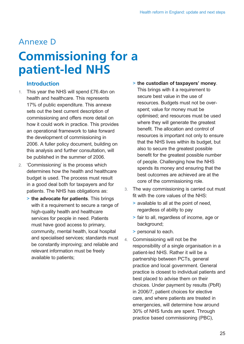### Annexe D

# **Commissioning for a patient-led NHS**

#### **Introduction**

- *1. This year the NHS will spend £76.4bn on health and healthcare. This represents 17% of public expenditure. This annexe sets out the best current description of commissioning and offers more detail on how it could work in practice. This provides an operational framework to take forward the development of commissioning in 2006. A fuller policy document, building on this analysis and further consultation, will be published in the summer of 2006.*
- *2. 'Commissioning' is the process which determines how the health and healthcare budget is used. The process must result in a good deal both for taxpayers and for patients. The NHS has obligations as:* 
	- *> the advocate for patients. This brings with it a requirement to secure a range of high-quality health and healthcare services for people in need. Patients must have good access to primary, community, mental health, local hospital and specialised services; standards must be constantly improving; and reliable and relevant information must be freely available to patients;*

### *> the custodian of taxpayers' money. This brings with it a requirement to secure best value in the use of resources. Budgets must not be overspent; value for money must be optimised; and resources must be used where they will generate the greatest benefit. The allocation and control of resources is important not only to ensure that the NHS lives within its budget, but also to secure the greatest possible benefit for the greatest possible number of people. Challenging how the NHS spends its money and ensuring that the best outcomes are achieved are at the core of the commissioning role.*

- *3. The way commissioning is carried out must fit with the core values of the NHS:* 
	- *> available to all at the point of need, regardless of ability to pay*
	- *> fair to all, regardless of income, age or background;*
	- *> personal to each.*
- *4. Commissioning will not be the responsibility of a single organisation in a patient-led NHS. Rather it will be a partnership between PCTs, general practice and local government. General practice is closest to individual patients and best placed to advise them on their choices. Under payment by results (PbR) in 2006/7, patient choices for elective care, and where patients are treated in emergencies, will determine how around 30% of NHS funds are spent. Through practice based commissioning (PBC),*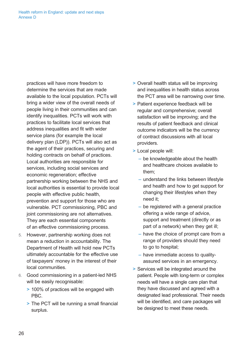*practices will have more freedom to determine the services that are made available to the local population. PCTs will bring a wider view of the overall needs of people living in their communities and can identify inequalities. PCTs will work with practices to facilitate local services that address inequalities and fit with wider service plans (for example the local delivery plan (LDP)). PCTs will also act as the agent of their practices, securing and holding contracts on behalf of practices. Local authorities are responsible for services, including social services and economic regeneration; effective partnership working between the NHS and local authorities is essential to provide local people with effective public health, prevention and support for those who are vulnerable. PCT commissioning, PBC and joint commissioning are not alternatives. They are each essential components of an effective commissioning process.* 

- *5. However, partnership working does not mean a reduction in accountability. The Department of Health will hold new PCTs ultimately accountable for the effective use of taxpayers' money in the interest of their local communities.*
- *6. Good commissioning in a patient-led NHS will be easily recognisable:* 
	- *> 100% of practices will be engaged with PBC.*
	- *> The PCT will be running a small financial surplus.*
- *> Overall health status will be improving and inequalities in health status across the PCT area will be narrowing over time.*
- *> Patient experience feedback will be regular and comprehensive; overall satisfaction will be improving; and the results of patient feedback and clinical outcome indicators will be the currency of contract discussions with all local providers.*
- *> Local people will:* 
	- *be knowledgeable about the health and healthcare choices available to them;*
	- *understand the links between lifestyle and health and how to get support for changing their lifestyles when they need it;*
	- *be registered with a general practice offering a wide range of advice, support and treatment (directly or as part of a network) when they get ill;*
	- *have the choice of prompt care from a range of providers should they need to go to hospital;*
	- *have immediate access to qualityassured services in an emergency.*
- *> Services will be integrated around the patient. People with long-term or complex needs will have a single care plan that they have discussed and agreed with a designated lead professional. Their needs will be identified, and care packages will be designed to meet these needs.*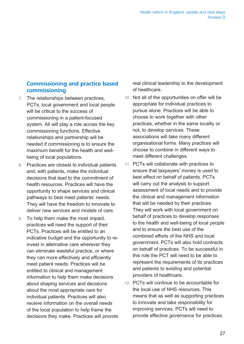### **Commissioning and practice based commissioning**

- *7. The relationships between practices, PCTs, local government and local people will be critical to the success of commissioning in a patient-focused system. All will play a role across the key commissioning functions. Effective relationships and partnership will be needed if commissioning is to ensure the maximum benefit for the health and wellbeing of local populations.*
- *8. Practices are closest to individual patients and, with patients, make the individual decisions that lead to the commitment of health resources. Practices will have the opportunity to shape services and clinical pathways to best meet patients' needs. They will have the freedom to innovate to deliver new services and models of care.*
- *9. To help them make the most impact, practices will need the support of their PCTs. Practices will be entitled to an indicative budget and the opportunity to reinvest in alternative care wherever they can eliminate wasteful practice, or where they can more effectively and efficiently meet patient needs. Practices will be entitled to clinical and management information to help them make decisions about shaping services and decisions about the most appropriate care for individual patients. Practices will also receive information on the overall needs of the local population to help frame the decisions they make. Practices will provide*

*real clinical leadership to the development of healthcare.* 

- *10. Not all of the opportunities on offer will be appropriate for individual practices to pursue alone. Practices will be able to choose to work together with other practices, whether in the same locality or not, to develop services. These associations will take many different organisational forms. Many practices will choose to combine in different ways to meet different challenges.*
- *11. PCTs will collaborate with practices to ensure that taxpayers' money is used to best effect on behalf of patients. PCTs will carry out the analysis to support assessment of local needs and to provide the clinical and management information that will be needed by their practices. They will work with local government on behalf of practices to develop responses to the health and well-being of local people and to ensure the best use of the combined efforts of the NHS and local government. PCTs will also hold contracts on behalf of practices. To be successful in this role the PCT will need to be able to represent the requirements of its practices and patients to existing and potential providers of healthcare.*
- *12. PCTs will continue to be accountable for the local use of NHS resources. This means that as well as supporting practices to innovate and take responsibility for improving services, PCTs will need to provide effective governance for practices.*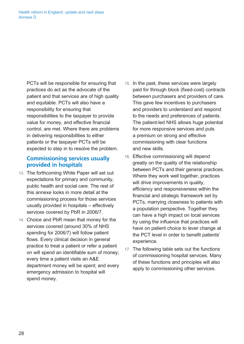*PCTs will be responsible for ensuring that practices do act as the advocate of the patient and that services are of high quality and equitable. PCTs will also have a responsibility for ensuring that responsibilities to the taxpayer to provide value for money, and effective financial control, are met. Where there are problems in delivering responsibilities to either patients or the taxpayer PCTs will be expected to step in to resolve the problem.* 

### **Commissioning services usually provided in hospitals**

- *13. The forthcoming White Paper will set out expectations for primary and community, public health and social care. The rest of this annexe looks in more detail at the commissioning process for those services usually provided in hospitals – effectively services covered by PbR in 2006/7.*
- *14. Choice and PbR mean that money for the services covered (around 30% of NHS spending for 2006/7) will follow patient flows. Every clinical decision in general practice to treat a patient or refer a patient on will spend an identifiable sum of money; every time a patient visits an A&E department money will be spent; and every emergency admission to hospital will spend money.*
- *15. In the past, these services were largely paid for through block (fixed-cost) contracts between purchasers and providers of care. This gave few incentives to purchasers and providers to understand and respond to the needs and preferences of patients. The patient-led NHS allows huge potential for more responsive services and puts a premium on strong and effective commissioning with clear functions and new skills.*
- *16. Effective commissioning will depend greatly on the quality of the relationship between PCTs and their general practices. Where they work well together, practices will drive improvements in quality, efficiency and responsiveness within the financial and strategic framework set by PCTs, marrying closeness to patients with a population perspective. Together they can have a high impact on local services by using the influence that practices will have on patient choice to lever change at the PCT level in order to benefit patients' experience.*
- *17. The following table sets out the functions of commissioning hospital services. Many of these functions and principles will also apply to commissioning other services.*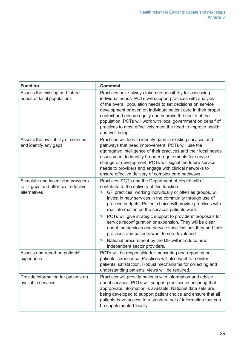| <b>Function</b>                                                                              | <b>Comment</b>                                                                                                                                                                                                                                                                                                                                                                                                                                                                                                                                                                                                                                                                                      |
|----------------------------------------------------------------------------------------------|-----------------------------------------------------------------------------------------------------------------------------------------------------------------------------------------------------------------------------------------------------------------------------------------------------------------------------------------------------------------------------------------------------------------------------------------------------------------------------------------------------------------------------------------------------------------------------------------------------------------------------------------------------------------------------------------------------|
| Assess the existing and future<br>needs of local populations                                 | Practices have always taken responsibility for assessing<br>individual needs. PCTs will support practices with analysis<br>of the overall population needs to set decisions on service<br>development or even on individual patient care in their proper<br>context and ensure equity and improve the health of the<br>population. PCTs will work with local government on behalf of<br>practices to most effectively meet the need to improve health<br>and well-being.                                                                                                                                                                                                                            |
| Assess the availability of services<br>and identify any gaps                                 | Practices will look to identify gaps in existing services and<br>pathways that need improvement. PCTs will use the<br>aggregated intelligence of their practices and their local needs<br>assessment to identify broader requirements for service<br>change or development. PCTs will signal the future service<br>needs to providers and engage with clinical networks to<br>ensure effective delivery of complex care pathways.                                                                                                                                                                                                                                                                   |
| Stimulate and incentivise providers<br>to fill gaps and offer cost-effective<br>alternatives | Practices, PCTs and the Department of Health will all<br>contribute to the delivery of this function.<br>GP practices, working individually or often as groups, will<br>⋗<br>invest in new services in the community through use of<br>practice budgets. Patient choice will provide practices with<br>real information on the services patients want.<br>PCTs will give strategic support to providers' proposals for<br>⋗<br>service reconfiguration or expansion. They will be clear<br>about the services and service specifications they and their<br>practices and patients want to see developed.<br>National procurement by the DH will introduce new<br>⋗<br>independent sector providers. |
| Assess and report on patients'<br>experience                                                 | PCTs will be responsible for measuring and reporting on<br>patients' experience. Practices will also want to monitor<br>patients' satisfaction. Robust mechanisms for collecting and<br>understanding patients' views will be required.                                                                                                                                                                                                                                                                                                                                                                                                                                                             |
| Provide information for patients on<br>available services                                    | Practices will provide patients with information and advice<br>about services. PCTs will support practices in ensuring that<br>appropriate information is available. National data sets are<br>being developed to support patient choice and ensure that all<br>patients have access to a standard set of information that can<br>be supplemented locally.                                                                                                                                                                                                                                                                                                                                          |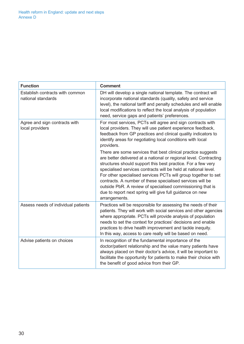| <b>Function</b>                                       | <b>Comment</b>                                                                                                                                                                                                                                                                                                                                                                                                                                                                                                                                |
|-------------------------------------------------------|-----------------------------------------------------------------------------------------------------------------------------------------------------------------------------------------------------------------------------------------------------------------------------------------------------------------------------------------------------------------------------------------------------------------------------------------------------------------------------------------------------------------------------------------------|
| Establish contracts with common<br>national standards | DH will develop a single national template. The contract will<br>incorporate national standards (quality, safety and service<br>level), the national tariff and penalty schedules and will enable<br>local modifications to reflect the local analysis of population<br>need, service gaps and patients' preferences.                                                                                                                                                                                                                         |
| Agree and sign contracts with<br>local providers      | For most services, PCTs will agree and sign contracts with<br>local providers. They will use patient experience feedback,<br>feedback from GP practices and clinical quality indicators to<br>identify areas for negotiating local conditions with local<br>providers.                                                                                                                                                                                                                                                                        |
|                                                       | There are some services that best clinical practice suggests<br>are better delivered at a national or regional level. Contracting<br>structures should support this best practice. For a few very<br>specialised services contracts will be held at national level.<br>For other specialised services PCTs will group together to set<br>contracts. A number of these specialised services will be<br>outside PbR. A review of specialised commissioning that is<br>due to report next spring will give full guidance on new<br>arrangements. |
| Assess needs of individual patients                   | Practices will be responsible for assessing the needs of their<br>patients. They will work with social services and other agencies<br>where appropriate. PCTs will provide analysis of population<br>needs to set the context for practices' decisions and enable<br>practices to drive health improvement and tackle inequity.<br>In this way, access to care really will be based on need.                                                                                                                                                  |
| Advise patients on choices                            | In recognition of the fundamental importance of the<br>doctor/patient relationship and the value many patients have<br>always placed on their doctor's advice, it will be important to<br>facilitate the opportunity for patients to make their choice with<br>the benefit of good advice from their GP.                                                                                                                                                                                                                                      |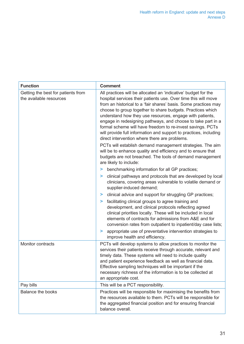| <b>Function</b>                                               | <b>Comment</b>                                                                                                                                                                                                                                                                                                                                                                                                                                                                                                                                                                                                                                                                                                                                                                                       |
|---------------------------------------------------------------|------------------------------------------------------------------------------------------------------------------------------------------------------------------------------------------------------------------------------------------------------------------------------------------------------------------------------------------------------------------------------------------------------------------------------------------------------------------------------------------------------------------------------------------------------------------------------------------------------------------------------------------------------------------------------------------------------------------------------------------------------------------------------------------------------|
| Getting the best for patients from<br>the available resources | All practices will be allocated an 'indicative' budget for the<br>hospital services their patients use. Over time this will move<br>from an historical to a 'fair shares' basis. Some practices may<br>choose to group together to share budgets. Practices which<br>understand how they use resources, engage with patients,<br>engage in redesigning pathways, and choose to take part in a<br>formal scheme will have freedom to re-invest savings. PCTs<br>will provide full information and support to practices, including<br>direct intervention where there are problems.<br>PCTs will establish demand management strategies. The aim<br>will be to enhance quality and efficiency and to ensure that<br>budgets are not breached. The tools of demand management<br>are likely to include: |
|                                                               | benchmarking information for all GP practices;<br>⋗                                                                                                                                                                                                                                                                                                                                                                                                                                                                                                                                                                                                                                                                                                                                                  |
|                                                               | clinical pathways and protocols that are developed by local<br>⋗<br>clinicians, covering areas vulnerable to volatile demand or<br>supplier-induced demand;                                                                                                                                                                                                                                                                                                                                                                                                                                                                                                                                                                                                                                          |
|                                                               | clinical advice and support for struggling GP practices;<br>⋗                                                                                                                                                                                                                                                                                                                                                                                                                                                                                                                                                                                                                                                                                                                                        |
|                                                               | facilitating clinical groups to agree training and<br>⋗<br>development, and clinical protocols reflecting agreed<br>clinical priorities locally. These will be included in local<br>elements of contracts for admissions from A&E and for<br>conversion rates from outpatient to inpatient/day case lists;<br>appropriate use of preventative intervention strategies to<br>⋗                                                                                                                                                                                                                                                                                                                                                                                                                        |
|                                                               | improve health and efficiency.                                                                                                                                                                                                                                                                                                                                                                                                                                                                                                                                                                                                                                                                                                                                                                       |
| Monitor contracts                                             | PCTs will develop systems to allow practices to monitor the<br>services their patients receive through accurate, relevant and<br>timely data. These systems will need to include quality<br>and patient experience feedback as well as financial data.<br>Effective sampling techniques will be important if the<br>necessary richness of the information is to be collected at<br>an appropriate cost.                                                                                                                                                                                                                                                                                                                                                                                              |
| Pay bills                                                     | This will be a PCT responsibility.                                                                                                                                                                                                                                                                                                                                                                                                                                                                                                                                                                                                                                                                                                                                                                   |
| Balance the books                                             | Practices will be responsible for maximising the benefits from<br>the resources available to them. PCTs will be responsible for<br>the aggregated financial position and for ensuring financial<br>balance overall.                                                                                                                                                                                                                                                                                                                                                                                                                                                                                                                                                                                  |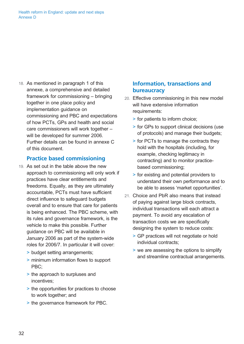*Health reform in England: update and next steps Annexe D* 

*18. As mentioned in paragraph 1 of this annexe, a comprehensive and detailed framework for commissioning – bringing together in one place policy and implementation guidance on commissioning and PBC and expectations of how PCTs, GPs and health and social care commissioners will work together – will be developed for summer 2006. Further details can be found in annexe C of this document.* 

#### **Practice based commissioning**

- *19. As set out in the table above the new approach to commissioning will only work if practices have clear entitlements and freedoms. Equally, as they are ultimately accountable, PCTs must have sufficient direct influence to safeguard budgets overall and to ensure that care for patients is being enhanced. The PBC scheme, with its rules and governance framework, is the vehicle to make this possible. Further guidance on PBC will be available in January 2006 as part of the system-wide roles for 2006/7. In particular it will cover:* 
	- *> budget setting arrangements;*
	- *> minimum information flows to support PBC;*
	- *> the approach to surpluses and incentives;*
	- *> the opportunities for practices to choose to work together; and*
	- *> the governance framework for PBC.*

#### **Information, transactions and bureaucracy**

- *20. Effective commissioning in this new model will have extensive information requirements:* 
	- *> for patients to inform choice;*
	- *> for GPs to support clinical decisions (use of protocols) and manage their budgets;*
	- *> for PCTs to manage the contracts they hold with the hospitals (including, for example, checking legitimacy in contracting) and to monitor practicebased commissioning;*
	- *> for existing and potential providers to understand their own performance and to be able to assess 'market opportunities'.*
- *21. Choice and PbR also means that instead of paying against large block contracts, individual transactions will each attract a payment. To avoid any escalation of transaction costs we are specifically designing the system to reduce costs:* 
	- *> GP practices will not negotiate or hold individual contracts;*
	- *> we are assessing the options to simplify and streamline contractual arrangements.*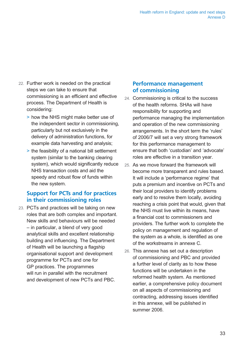- *22. Further work is needed on the practical steps we can take to ensure that commissioning is an efficient and effective process. The Department of Health is considering:* 
	- *> how the NHS might make better use of the independent sector in commissioning, particularly but not exclusively in the delivery of administration functions, for example data harvesting and analysis;*
	- *> the feasibility of a national bill settlement system (similar to the banking clearing system), which would significantly reduce NHS transaction costs and aid the speedy and robust flow of funds within the new system.*

### **Support for PCTs and for practices in their commissioning roles**

*23. PCTs and practices will be taking on new roles that are both complex and important. New skills and behaviours will be needed – in particular, a blend of very good analytical skills and excellent relationship building and influencing. The Department of Health will be launching a flagship organisational support and development programme for PCTs and one for GP practices. The programmes will run in parallel with the recruitment and development of new PCTs and PBC.* 

### **Performance management of commissioning**

- *24. Commissioning is critical to the success of the health reforms. SHAs will have responsibility for supporting and performance managing the implementation and operation of the new commissioning arrangements. In the short term the 'rules' of 2006/7 will set a very strong framework for this performance management to ensure that both 'custodian' and 'advocate' roles are effective in a transition year.*
- *25. As we move forward the framework will become more transparent and rules based. It will include a 'performance regime' that puts a premium and incentive on PCTs and their local providers to identify problems early and to resolve them locally, avoiding reaching a crisis point that would, given that the NHS must live within its means, have a financial cost to commissioners and providers. The further work to complete the policy on management and regulation of the system as a whole, is identified as one of the workstreams in annexe C.*
- *26. This annexe has set out a description of commissioning and PBC and provided a further level of clarity as to how these functions will be undertaken in the reformed health system. As mentioned earlier, a comprehensive policy document on all aspects of commissioning and contracting, addressing issues identified in this annexe, will be published in summer 2006.*